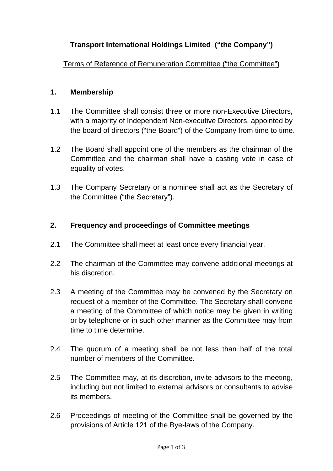## **Transport International Holdings Limited ("the Company")**

Terms of Reference of Remuneration Committee ("the Committee")

## **1. Membership**

- 1.1 The Committee shall consist three or more non-Executive Directors, with a majority of Independent Non-executive Directors, appointed by the board of directors ("the Board") of the Company from time to time.
- 1.2 The Board shall appoint one of the members as the chairman of the Committee and the chairman shall have a casting vote in case of equality of votes.
- 1.3 The Company Secretary or a nominee shall act as the Secretary of the Committee ("the Secretary").

## **2. Frequency and proceedings of Committee meetings**

- 2.1 The Committee shall meet at least once every financial year.
- 2.2 The chairman of the Committee may convene additional meetings at his discretion.
- 2.3 A meeting of the Committee may be convened by the Secretary on request of a member of the Committee. The Secretary shall convene a meeting of the Committee of which notice may be given in writing or by telephone or in such other manner as the Committee may from time to time determine.
- 2.4 The quorum of a meeting shall be not less than half of the total number of members of the Committee.
- 2.5 The Committee may, at its discretion, invite advisors to the meeting, including but not limited to external advisors or consultants to advise its members.
- 2.6 Proceedings of meeting of the Committee shall be governed by the provisions of Article 121 of the Bye-laws of the Company.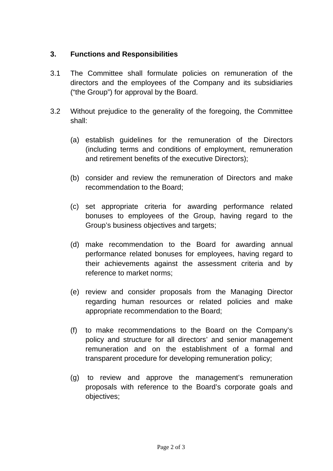## **3. Functions and Responsibilities**

- 3.1 The Committee shall formulate policies on remuneration of the directors and the employees of the Company and its subsidiaries ("the Group") for approval by the Board.
- 3.2 Without prejudice to the generality of the foregoing, the Committee shall:
	- (a) establish guidelines for the remuneration of the Directors (including terms and conditions of employment, remuneration and retirement benefits of the executive Directors);
	- (b) consider and review the remuneration of Directors and make recommendation to the Board;
	- (c) set appropriate criteria for awarding performance related bonuses to employees of the Group, having regard to the Group's business objectives and targets;
	- (d) make recommendation to the Board for awarding annual performance related bonuses for employees, having regard to their achievements against the assessment criteria and by reference to market norms;
	- (e) review and consider proposals from the Managing Director regarding human resources or related policies and make appropriate recommendation to the Board;
	- (f) to make recommendations to the Board on the Company's policy and structure for all directors' and senior management remuneration and on the establishment of a formal and transparent procedure for developing remuneration policy;
	- (g) to review and approve the management's remuneration proposals with reference to the Board's corporate goals and objectives;